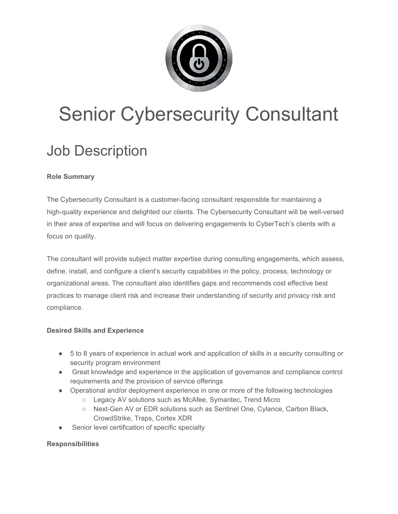

# Senior Cybersecurity Consultant

# Job Description

## **Role Summary**

The Cybersecurity Consultant is a customer-facing consultant responsible for maintaining a high-quality experience and delighted our clients. The Cybersecurity Consultant will be well-versed in their area of expertise and will focus on delivering engagements to CyberTech's clients with a focus on quality.

The consultant will provide subject matter expertise during consulting engagements, which assess, define, install, and configure a client's security capabilities in the policy, process, technology or organizational areas. The consultant also identifies gaps and recommends cost effective best practices to manage client risk and increase their understanding of security and privacy risk and compliance.

### **Desired Skills and Experience**

- 5 to 8 years of experience in actual work and application of skills in a security consulting or security program environment
- Great knowledge and experience in the application of governance and compliance control requirements and the provision of service offerings
- Operational and/or deployment experience in one or more of the following technologies
	- Legacy AV solutions such as McAfee, Symantec, Trend Micro
	- Next-Gen AV or EDR solutions such as Sentinel One, Cylance, Carbon Black, CrowdStrike, Traps, Cortex XDR
- Senior level certification of specific specialty

### **Responsibilities**